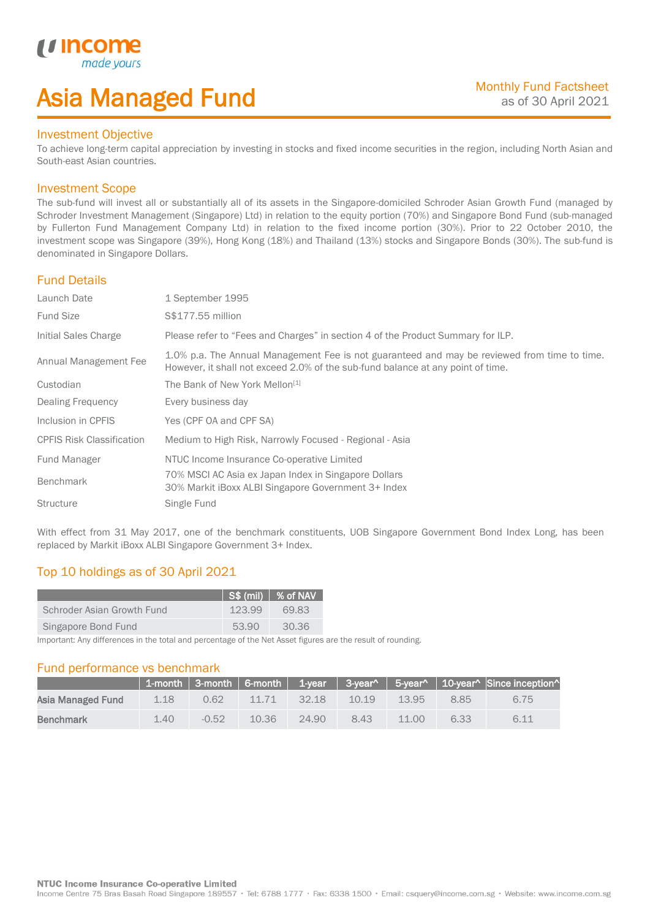## Asia Managed Fund

### Investment Objective

*u* incon

I

To achieve long-term capital appreciation by investing in stocks and fixed income securities in the region, including North Asian and South-east Asian countries.

### Investment Scope

The sub-fund will invest all or substantially all of its assets in the Singapore-domiciled Schroder Asian Growth Fund (managed by Schroder Investment Management (Singapore) Ltd) in relation to the equity portion (70%) and Singapore Bond Fund (sub-managed by Fullerton Fund Management Company Ltd) in relation to the fixed income portion (30%). Prior to 22 October 2010, the investment scope was Singapore (39%), Hong Kong (18%) and Thailand (13%) stocks and Singapore Bonds (30%). The sub-fund is denominated in Singapore Dollars.

### Fund Details

| Launch Date                      | 1 September 1995                                                                                                                                                                |
|----------------------------------|---------------------------------------------------------------------------------------------------------------------------------------------------------------------------------|
| <b>Fund Size</b>                 | S\$177.55 million                                                                                                                                                               |
| Initial Sales Charge             | Please refer to "Fees and Charges" in section 4 of the Product Summary for ILP.                                                                                                 |
| Annual Management Fee            | 1.0% p.a. The Annual Management Fee is not guaranteed and may be reviewed from time to time.<br>However, it shall not exceed 2.0% of the sub-fund balance at any point of time. |
| Custodian                        | The Bank of New York Mellon <sup>[1]</sup>                                                                                                                                      |
| Dealing Frequency                | Every business day                                                                                                                                                              |
| Inclusion in CPFIS               | Yes (CPF OA and CPF SA)                                                                                                                                                         |
| <b>CPFIS Risk Classification</b> | Medium to High Risk, Narrowly Focused - Regional - Asia                                                                                                                         |
| Fund Manager                     | NTUC Income Insurance Co-operative Limited                                                                                                                                      |
| <b>Benchmark</b>                 | 70% MSCI AC Asia ex Japan Index in Singapore Dollars<br>30% Markit iBoxx ALBI Singapore Government 3+ Index                                                                     |
| <b>Structure</b>                 | Single Fund                                                                                                                                                                     |

With effect from 31 May 2017, one of the benchmark constituents, UOB Singapore Government Bond Index Long, has been replaced by Markit iBoxx ALBI Singapore Government 3+ Index.

## Top 10 holdings as of 30 April 2021

|                            |        | $\sqrt{S\$ (mil) $\sqrt{S}$ of NAV |
|----------------------------|--------|------------------------------------|
| Schroder Asian Growth Fund | 123.99 | 69.83                              |
| Singapore Bond Fund        | 53.90  | 30.36                              |

Important: Any differences in the total and percentage of the Net Asset figures are the result of rounding.

### Fund performance vs benchmark

|                   |      |         |       |       |       |       |      | 1-month   3-month   6-month   1-year   3-year^   5-year^   10-year^   Since inception^ |
|-------------------|------|---------|-------|-------|-------|-------|------|----------------------------------------------------------------------------------------|
| Asia Managed Fund | 1.18 | 0.62    | 11.71 | 32.18 | 10.19 | 13.95 | 8.85 | 6.75                                                                                   |
| <b>Benchmark</b>  | 1.40 | $-0.52$ | 10.36 | 24.90 | 8.43  | 11.00 | 6.33 | 6.11                                                                                   |